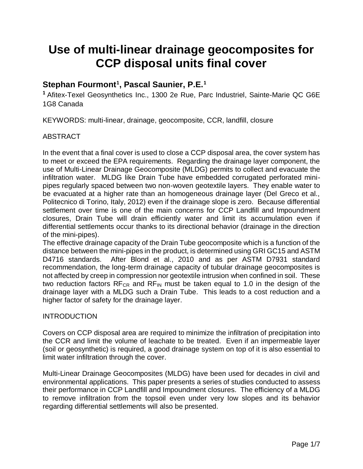# **Use of multi-linear drainage geocomposites for CCP disposal units final cover**

# **Stephan Fourmont***<sup>P</sup>* **1 , Pascal Saunier, P.E.***<sup>P</sup>* **1**

*P* **<sup>1</sup>**Afitex-Texel Geosynthetics Inc., 1300 2e Rue, Parc Industriel, Sainte-Marie QC G6E 1G8 Canada

KEYWORDS: multi-linear, drainage, geocomposite, CCR, landfill, closure

# ABSTRACT

In the event that a final cover is used to close a CCP disposal area, the cover system has to meet or exceed the EPA requirements. Regarding the drainage layer component, the use of Multi-Linear Drainage Geocomposite (MLDG) permits to collect and evacuate the infiltration water. MLDG like Drain Tube have embedded corrugated perforated minipipes regularly spaced between two non-woven geotextile layers. They enable water to be evacuated at a higher rate than an homogeneous drainage layer (Del Greco et al., Politecnico di Torino, Italy, 2012) even if the drainage slope is zero. Because differential settlement over time is one of the main concerns for CCP Landfill and Impoundment closures, Drain Tube will drain efficiently water and limit its accumulation even if differential settlements occur thanks to its directional behavior (drainage in the direction of the mini-pipes).

The effective drainage capacity of the Drain Tube geocomposite which is a function of the distance between the mini-pipes in the product, is determined using GRI GC15 and ASTM D4716 standards. After Blond et al., 2010 and as per ASTM D7931 standard recommendation, the long-term drainage capacity of tubular drainage geocomposites is not affected by creep in compression nor geotextile intrusion when confined in soil. These two reduction factors  $RF_{CR}$  and  $RF_{IN}$  must be taken equal to 1.0 in the design of the drainage layer with a MLDG such a Drain Tube. This leads to a cost reduction and a higher factor of safety for the drainage layer.

#### INTRODUCTION

Covers on CCP disposal area are required to minimize the infiltration of precipitation into the CCR and limit the volume of leachate to be treated. Even if an impermeable layer (soil or geosynthetic) is required, a good drainage system on top of it is also essential to limit water infiltration through the cover.

Multi-Linear Drainage Geocomposites (MLDG) have been used for decades in civil and environmental applications. This paper presents a series of studies conducted to assess their performance in CCP Landfill and Impoundment closures. The efficiency of a MLDG to remove infiltration from the topsoil even under very low slopes and its behavior regarding differential settlements will also be presented.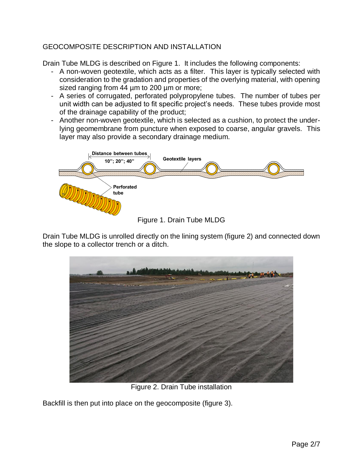## GEOCOMPOSITE DESCRIPTION AND INSTALLATION

Drain Tube MLDG is described on Figure 1. It includes the following components:

- A non-woven geotextile, which acts as a filter. This layer is typically selected with consideration to the gradation and properties of the overlying material, with opening sized ranging from 44 um to 200 um or more;
- A series of corrugated, perforated polypropylene tubes. The number of tubes per unit width can be adjusted to fit specific project's needs. These tubes provide most of the drainage capability of the product;
- Another non-woven geotextile, which is selected as a cushion, to protect the underlying geomembrane from puncture when exposed to coarse, angular gravels. This layer may also provide a secondary drainage medium.



Drain Tube MLDG is unrolled directly on the lining system (figure 2) and connected down the slope to a collector trench or a ditch.



Figure 2. Drain Tube installation

Backfill is then put into place on the geocomposite (figure 3).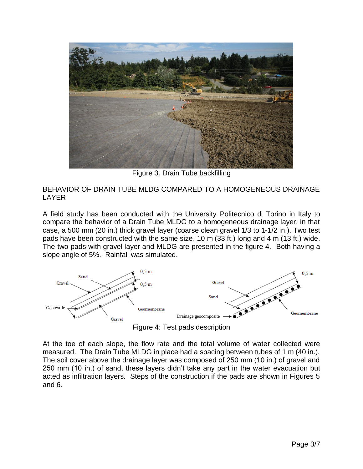

Figure 3. Drain Tube backfilling

BEHAVIOR OF DRAIN TUBE MLDG COMPARED TO A HOMOGENEOUS DRAINAGE LAYER

A field study has been conducted with the University Politecnico di Torino in Italy to compare the behavior of a Drain Tube MLDG to a homogeneous drainage layer, in that case, a 500 mm (20 in.) thick gravel layer (coarse clean gravel 1/3 to 1-1/2 in.). Two test pads have been constructed with the same size, 10 m (33 ft.) long and 4 m (13 ft.) wide. The two pads with gravel layer and MLDG are presented in the figure 4. Both having a slope angle of 5%. Rainfall was simulated.



Figure 4: Test pads description

At the toe of each slope, the flow rate and the total volume of water collected were measured. The Drain Tube MLDG in place had a spacing between tubes of 1 m (40 in.). The soil cover above the drainage layer was composed of 250 mm (10 in.) of gravel and 250 mm (10 in.) of sand, these layers didn't take any part in the water evacuation but acted as infiltration layers. Steps of the construction if the pads are shown in Figures 5 and 6.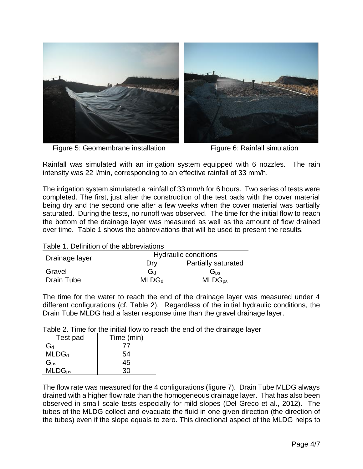

Figure 5: Geomembrane installation Figure 6: Rainfall simulation

Rainfall was simulated with an irrigation system equipped with 6 nozzles. The rain intensity was 22 l/min, corresponding to an effective rainfall of 33 mm/h.

The irrigation system simulated a rainfall of 33 mm/h for 6 hours. Two series of tests were completed. The first, just after the construction of the test pads with the cover material being dry and the second one after a few weeks when the cover material was partially saturated. During the tests, no runoff was observed. The time for the initial flow to reach the bottom of the drainage layer was measured as well as the amount of flow drained over time. Table 1 shows the abbreviations that will be used to present the results.

| Drainage layer    | <b>Hydraulic conditions</b> |                            |
|-------------------|-----------------------------|----------------------------|
|                   |                             | <b>Partially saturated</b> |
| Gravel            | hخ                          | os⊂                        |
| <b>Drain Tube</b> | <b>MLDG</b> <sub>d</sub>    | $MLDG_{DS}$                |

The time for the water to reach the end of the drainage layer was measured under 4 different configurations (cf. Table 2). Regardless of the initial hydraulic conditions, the Drain Tube MLDG had a faster response time than the gravel drainage layer.

Table 2. Time for the initial flow to reach the end of the drainage layer

| Test pad           | Time (min)     |
|--------------------|----------------|
| $G_d$              | $\prime\prime$ |
| MLDG <sub>d</sub>  | 54             |
| $G_{ps}$           | 45             |
| MLDG <sub>ps</sub> | ۹Λ             |

The flow rate was measured for the 4 configurations (figure 7). Drain Tube MLDG always drained with a higher flow rate than the homogeneous drainage layer. That has also been observed in small scale tests especially for mild slopes (Del Greco et al., 2012). The tubes of the MLDG collect and evacuate the fluid in one given direction (the direction of the tubes) even if the slope equals to zero. This directional aspect of the MLDG helps to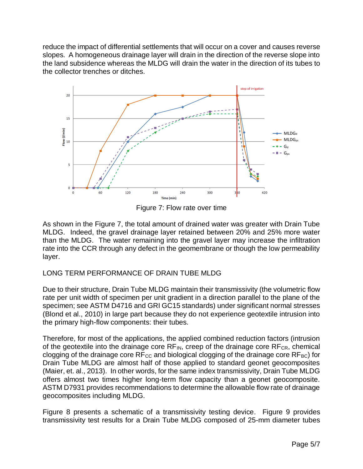reduce the impact of differential settlements that will occur on a cover and causes reverse slopes. A homogeneous drainage layer will drain in the direction of the reverse slope into the land subsidence whereas the MLDG will drain the water in the direction of its tubes to the collector trenches or ditches.



Figure 7: Flow rate over time

As shown in the Figure 7, the total amount of drained water was greater with Drain Tube MLDG. Indeed, the gravel drainage layer retained between 20% and 25% more water than the MLDG. The water remaining into the gravel layer may increase the infiltration rate into the CCR through any defect in the geomembrane or though the low permeability layer.

## LONG TERM PERFORMANCE OF DRAIN TUBE MLDG

Due to their structure, Drain Tube MLDG maintain their transmissivity (the volumetric flow rate per unit width of specimen per unit gradient in a direction parallel to the plane of the specimen; see ASTM D4716 and GRI GC15 standards) under significant normal stresses (Blond et al., 2010) in large part because they do not experience geotextile intrusion into the primary high-flow components: their tubes.

Therefore, for most of the applications, the applied combined reduction factors (intrusion of the geotextile into the drainage core  $RF_{IN}$ , creep of the drainage core  $RF_{CR}$ , chemical clogging of the drainage core  $RF_{CC}$  and biological clogging of the drainage core  $RF_{BC}$ ) for Drain Tube MLDG are almost half of those applied to standard geonet geocomposites (Maier, et. al., 2013). In other words, for the same index transmissivity, Drain Tube MLDG offers almost two times higher long-term flow capacity than a geonet geocomposite. ASTM D7931 provides recommendations to determine the allowable flow rate of drainage geocomposites including MLDG.

Figure 8 presents a schematic of a transmissivity testing device. Figure 9 provides transmissivity test results for a Drain Tube MLDG composed of 25-mm diameter tubes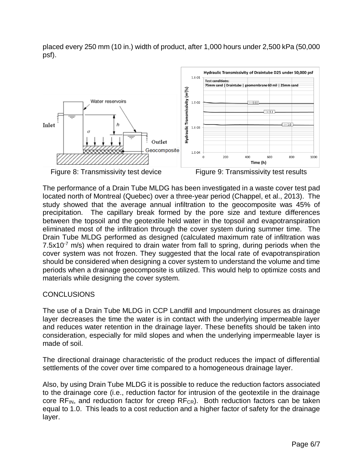placed every 250 mm (10 in.) width of product, after 1,000 hours under 2,500 kPa (50,000 psf).





Figure 8: Transmissivity test device Figure 9: Transmissivity test results

The performance of a Drain Tube MLDG has been investigated in a waste cover test pad located north of Montreal (Quebec) over a three-year period (Chappel, et al., 2013). The study showed that the average annual infiltration to the geocomposite was 45% of precipitation. The capillary break formed by the pore size and texture differences between the topsoil and the geotextile held water in the topsoil and evapotranspiration eliminated most of the infiltration through the cover system during summer time. The Drain Tube MLDG performed as designed (calculated maximum rate of infiltration was 7.5 $x10^{-7}$  m/s) when required to drain water from fall to spring, during periods when the cover system was not frozen. They suggested that the local rate of evapotranspiration should be considered when designing a cover system to understand the volume and time periods when a drainage geocomposite is utilized. This would help to optimize costs and materials while designing the cover system.

#### CONCLUSIONS

The use of a Drain Tube MLDG in CCP Landfill and Impoundment closures as drainage layer decreases the time the water is in contact with the underlying impermeable layer and reduces water retention in the drainage layer. These benefits should be taken into consideration, especially for mild slopes and when the underlying impermeable layer is made of soil.

The directional drainage characteristic of the product reduces the impact of differential settlements of the cover over time compared to a homogeneous drainage layer.

Also, by using Drain Tube MLDG it is possible to reduce the reduction factors associated to the drainage core (i.e., reduction factor for intrusion of the geotextile in the drainage core  $RF_{IN}$ , and reduction factor for creep  $RF_{CR}$ ). Both reduction factors can be taken equal to 1.0. This leads to a cost reduction and a higher factor of safety for the drainage layer.